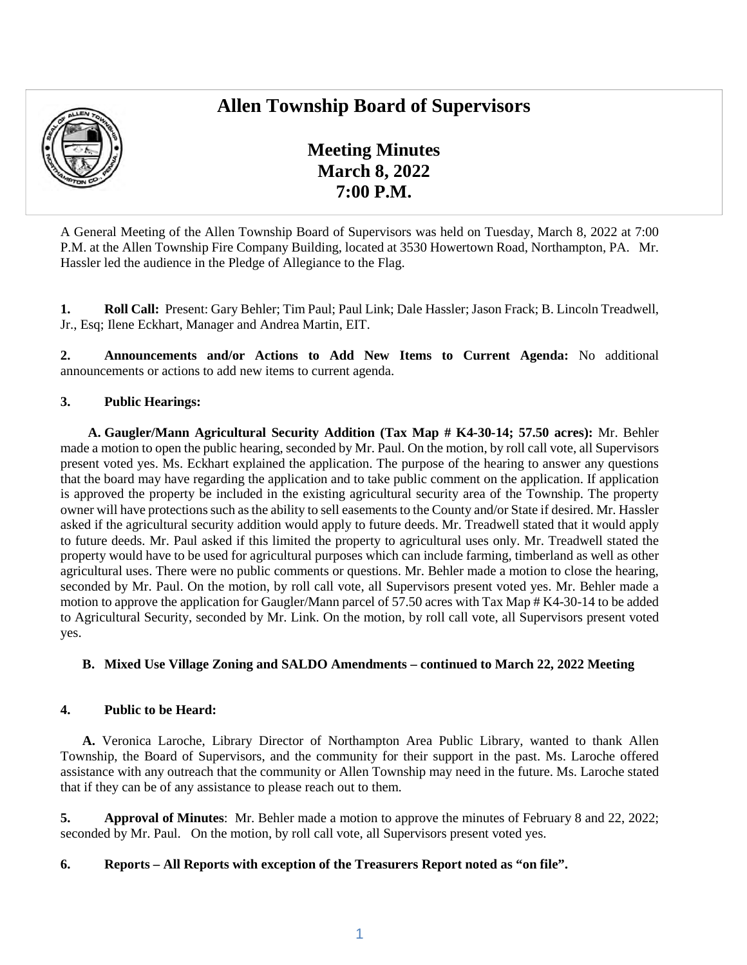# **Allen Township Board of Supervisors**



**Meeting Minutes March 8, 2022 7:00 P.M.** 

A General Meeting of the Allen Township Board of Supervisors was held on Tuesday, March 8, 2022 at 7:00 P.M. at the Allen Township Fire Company Building, located at 3530 Howertown Road, Northampton, PA. Mr. Hassler led the audience in the Pledge of Allegiance to the Flag.

**1. Roll Call:** Present: Gary Behler; Tim Paul; Paul Link; Dale Hassler; Jason Frack; B. Lincoln Treadwell, Jr., Esq; Ilene Eckhart, Manager and Andrea Martin, EIT.

**2. Announcements and/or Actions to Add New Items to Current Agenda:** No additional announcements or actions to add new items to current agenda.

# **3. Public Hearings:**

**A. Gaugler/Mann Agricultural Security Addition (Tax Map # K4-30-14; 57.50 acres):** Mr. Behler made a motion to open the public hearing, seconded by Mr. Paul. On the motion, by roll call vote, all Supervisors present voted yes. Ms. Eckhart explained the application. The purpose of the hearing to answer any questions that the board may have regarding the application and to take public comment on the application. If application is approved the property be included in the existing agricultural security area of the Township. The property owner will have protections such as the ability to sell easements to the County and/or State if desired. Mr. Hassler asked if the agricultural security addition would apply to future deeds. Mr. Treadwell stated that it would apply to future deeds. Mr. Paul asked if this limited the property to agricultural uses only. Mr. Treadwell stated the property would have to be used for agricultural purposes which can include farming, timberland as well as other agricultural uses. There were no public comments or questions. Mr. Behler made a motion to close the hearing, seconded by Mr. Paul. On the motion, by roll call vote, all Supervisors present voted yes. Mr. Behler made a motion to approve the application for Gaugler/Mann parcel of 57.50 acres with Tax Map # K4-30-14 to be added to Agricultural Security, seconded by Mr. Link. On the motion, by roll call vote, all Supervisors present voted yes.

# **B. Mixed Use Village Zoning and SALDO Amendments – continued to March 22, 2022 Meeting**

#### **4. Public to be Heard:**

**A.** Veronica Laroche, Library Director of Northampton Area Public Library, wanted to thank Allen Township, the Board of Supervisors, and the community for their support in the past. Ms. Laroche offered assistance with any outreach that the community or Allen Township may need in the future. Ms. Laroche stated that if they can be of any assistance to please reach out to them.

**5. Approval of Minutes**: Mr. Behler made a motion to approve the minutes of February 8 and 22, 2022; seconded by Mr. Paul. On the motion, by roll call vote, all Supervisors present voted yes.

# **6. Reports – All Reports with exception of the Treasurers Report noted as "on file".**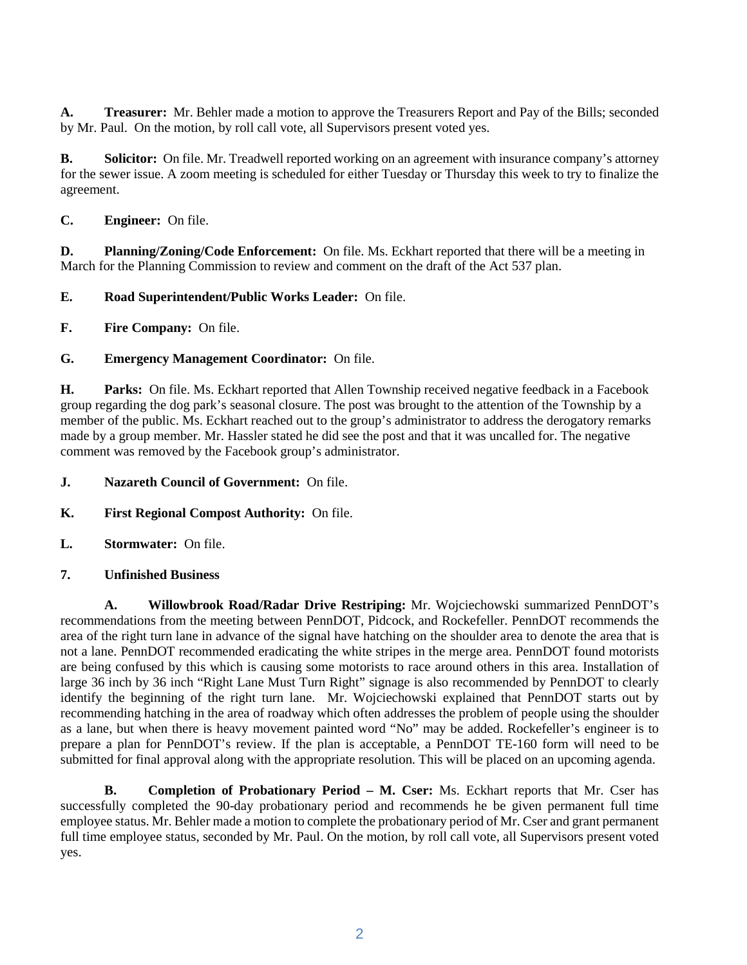**A. Treasurer:** Mr. Behler made a motion to approve the Treasurers Report and Pay of the Bills; seconded by Mr. Paul. On the motion, by roll call vote, all Supervisors present voted yes.

**B.** Solicitor: On file. Mr. Treadwell reported working on an agreement with insurance company's attorney for the sewer issue. A zoom meeting is scheduled for either Tuesday or Thursday this week to try to finalize the agreement.

**C. Engineer:** On file.

**D.** Planning/Zoning/Code Enforcement: On file. Ms. Eckhart reported that there will be a meeting in March for the Planning Commission to review and comment on the draft of the Act 537 plan.

### **E. Road Superintendent/Public Works Leader:** On file.

**F. Fire Company:** On file.

### **G. Emergency Management Coordinator:** On file.

**H. Parks:** On file. Ms. Eckhart reported that Allen Township received negative feedback in a Facebook group regarding the dog park's seasonal closure. The post was brought to the attention of the Township by a member of the public. Ms. Eckhart reached out to the group's administrator to address the derogatory remarks made by a group member. Mr. Hassler stated he did see the post and that it was uncalled for. The negative comment was removed by the Facebook group's administrator.

- **J. Nazareth Council of Government:** On file.
- **K. First Regional Compost Authority:** On file.
- **L. Stormwater:** On file.
- **7. Unfinished Business**

**A. Willowbrook Road/Radar Drive Restriping:** Mr. Wojciechowski summarized PennDOT's recommendations from the meeting between PennDOT, Pidcock, and Rockefeller. PennDOT recommends the area of the right turn lane in advance of the signal have hatching on the shoulder area to denote the area that is not a lane. PennDOT recommended eradicating the white stripes in the merge area. PennDOT found motorists are being confused by this which is causing some motorists to race around others in this area. Installation of large 36 inch by 36 inch "Right Lane Must Turn Right" signage is also recommended by PennDOT to clearly identify the beginning of the right turn lane. Mr. Wojciechowski explained that PennDOT starts out by recommending hatching in the area of roadway which often addresses the problem of people using the shoulder as a lane, but when there is heavy movement painted word "No" may be added. Rockefeller's engineer is to prepare a plan for PennDOT's review. If the plan is acceptable, a PennDOT TE-160 form will need to be submitted for final approval along with the appropriate resolution. This will be placed on an upcoming agenda.

**B. Completion of Probationary Period – M. Cser:** Ms. Eckhart reports that Mr. Cser has successfully completed the 90-day probationary period and recommends he be given permanent full time employee status. Mr. Behler made a motion to complete the probationary period of Mr. Cser and grant permanent full time employee status, seconded by Mr. Paul. On the motion, by roll call vote, all Supervisors present voted yes.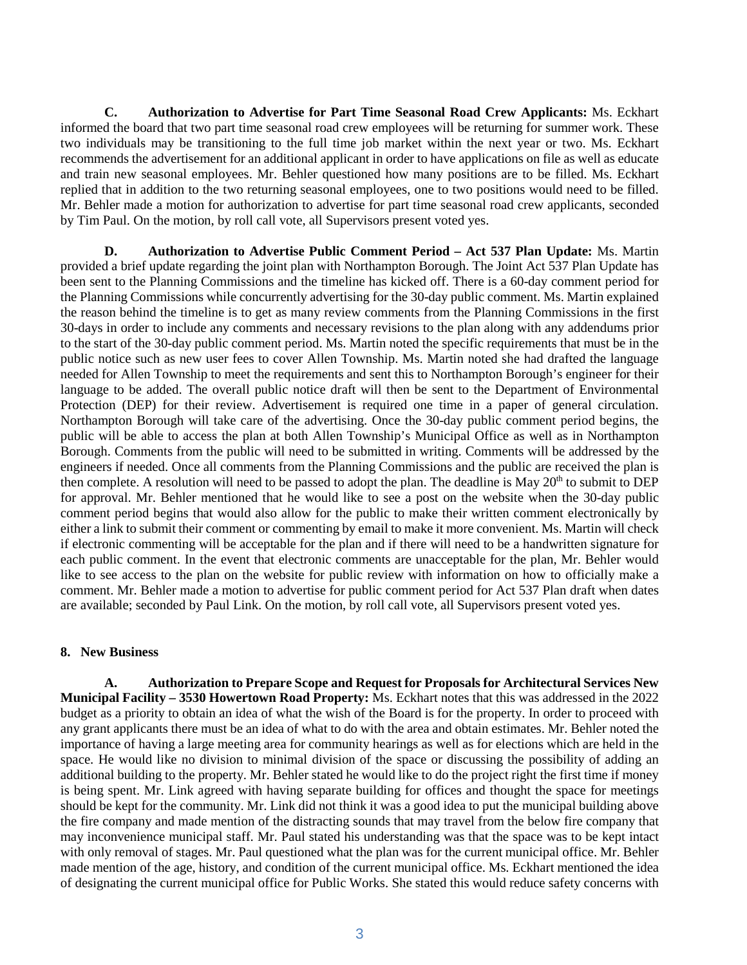**C. Authorization to Advertise for Part Time Seasonal Road Crew Applicants:** Ms. Eckhart informed the board that two part time seasonal road crew employees will be returning for summer work. These two individuals may be transitioning to the full time job market within the next year or two. Ms. Eckhart recommends the advertisement for an additional applicant in order to have applications on file as well as educate and train new seasonal employees. Mr. Behler questioned how many positions are to be filled. Ms. Eckhart replied that in addition to the two returning seasonal employees, one to two positions would need to be filled. Mr. Behler made a motion for authorization to advertise for part time seasonal road crew applicants, seconded by Tim Paul. On the motion, by roll call vote, all Supervisors present voted yes.

**D. Authorization to Advertise Public Comment Period – Act 537 Plan Update:** Ms. Martin provided a brief update regarding the joint plan with Northampton Borough. The Joint Act 537 Plan Update has been sent to the Planning Commissions and the timeline has kicked off. There is a 60-day comment period for the Planning Commissions while concurrently advertising for the 30-day public comment. Ms. Martin explained the reason behind the timeline is to get as many review comments from the Planning Commissions in the first 30-days in order to include any comments and necessary revisions to the plan along with any addendums prior to the start of the 30-day public comment period. Ms. Martin noted the specific requirements that must be in the public notice such as new user fees to cover Allen Township. Ms. Martin noted she had drafted the language needed for Allen Township to meet the requirements and sent this to Northampton Borough's engineer for their language to be added. The overall public notice draft will then be sent to the Department of Environmental Protection (DEP) for their review. Advertisement is required one time in a paper of general circulation. Northampton Borough will take care of the advertising. Once the 30-day public comment period begins, the public will be able to access the plan at both Allen Township's Municipal Office as well as in Northampton Borough. Comments from the public will need to be submitted in writing. Comments will be addressed by the engineers if needed. Once all comments from the Planning Commissions and the public are received the plan is then complete. A resolution will need to be passed to adopt the plan. The deadline is May 20<sup>th</sup> to submit to DEP for approval. Mr. Behler mentioned that he would like to see a post on the website when the 30-day public comment period begins that would also allow for the public to make their written comment electronically by either a link to submit their comment or commenting by email to make it more convenient. Ms. Martin will check if electronic commenting will be acceptable for the plan and if there will need to be a handwritten signature for each public comment. In the event that electronic comments are unacceptable for the plan, Mr. Behler would like to see access to the plan on the website for public review with information on how to officially make a comment. Mr. Behler made a motion to advertise for public comment period for Act 537 Plan draft when dates are available; seconded by Paul Link. On the motion, by roll call vote, all Supervisors present voted yes.

#### **8. New Business**

**A. Authorization to Prepare Scope and Request for Proposals for Architectural Services New Municipal Facility – 3530 Howertown Road Property:** Ms. Eckhart notes that this was addressed in the 2022 budget as a priority to obtain an idea of what the wish of the Board is for the property. In order to proceed with any grant applicants there must be an idea of what to do with the area and obtain estimates. Mr. Behler noted the importance of having a large meeting area for community hearings as well as for elections which are held in the space. He would like no division to minimal division of the space or discussing the possibility of adding an additional building to the property. Mr. Behler stated he would like to do the project right the first time if money is being spent. Mr. Link agreed with having separate building for offices and thought the space for meetings should be kept for the community. Mr. Link did not think it was a good idea to put the municipal building above the fire company and made mention of the distracting sounds that may travel from the below fire company that may inconvenience municipal staff. Mr. Paul stated his understanding was that the space was to be kept intact with only removal of stages. Mr. Paul questioned what the plan was for the current municipal office. Mr. Behler made mention of the age, history, and condition of the current municipal office. Ms. Eckhart mentioned the idea of designating the current municipal office for Public Works. She stated this would reduce safety concerns with